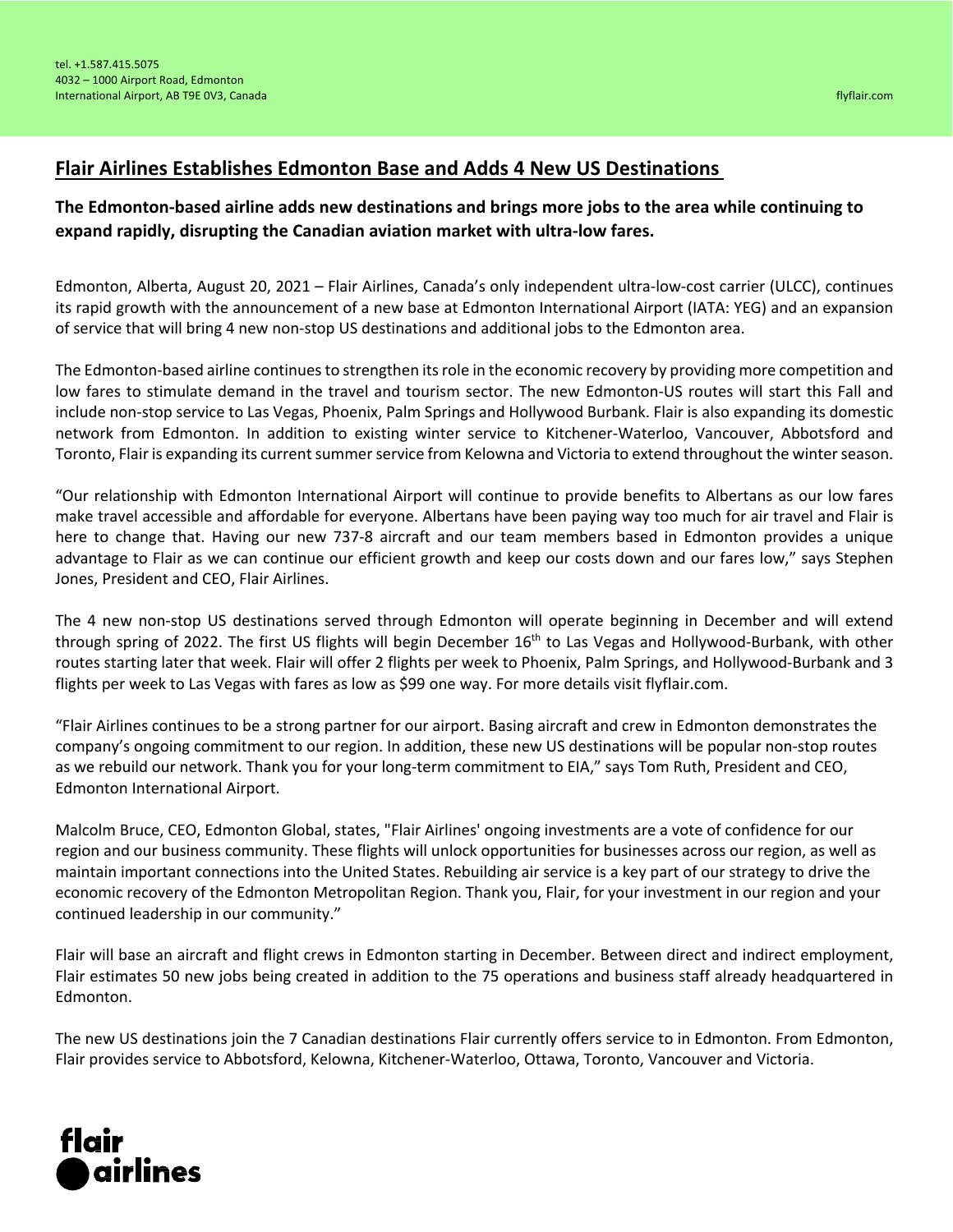## **Flair Airlines Establishes Edmonton Base and Adds 4 New US Destinations**

## **The Edmonton-based airline adds new destinations and brings more jobs to the area while continuing to expand rapidly, disrupting the Canadian aviation market with ultra-low fares.**

Edmonton, Alberta, August 20, 2021 – Flair Airlines, Canada's only independent ultra-low-cost carrier (ULCC), continues its rapid growth with the announcement of a new base at Edmonton International Airport (IATA: YEG) and an expansion of service that will bring 4 new non-stop US destinations and additional jobs to the Edmonton area.

The Edmonton-based airline continues to strengthen its role in the economic recovery by providing more competition and low fares to stimulate demand in the travel and tourism sector. The new Edmonton-US routes will start this Fall and include non-stop service to Las Vegas, Phoenix, Palm Springs and Hollywood Burbank. Flair is also expanding its domestic network from Edmonton. In addition to existing winter service to Kitchener-Waterloo, Vancouver, Abbotsford and Toronto, Flair is expanding its current summer service from Kelowna and Victoria to extend throughout the winterseason.

"Our relationship with Edmonton International Airport will continue to provide benefits to Albertans as our low fares make travel accessible and affordable for everyone. Albertans have been paying way too much for air travel and Flair is here to change that. Having our new 737-8 aircraft and our team members based in Edmonton provides a unique advantage to Flair as we can continue our efficient growth and keep our costs down and our fares low," says Stephen Jones, President and CEO, Flair Airlines.

The 4 new non-stop US destinations served through Edmonton will operate beginning in December and will extend through spring of 2022. The first US flights will begin December 16<sup>th</sup> to Las Vegas and Hollywood-Burbank, with other routes starting later that week. Flair will offer 2 flights per week to Phoenix, Palm Springs, and Hollywood-Burbank and 3 flights per week to Las Vegas with fares as low as \$99 one way. For more details visit flyflair.com.

"Flair Airlines continues to be a strong partner for our airport. Basing aircraft and crew in Edmonton demonstrates the company's ongoing commitment to our region. In addition, these new US destinations will be popular non-stop routes as we rebuild our network. Thank you for your long-term commitment to EIA," says Tom Ruth, President and CEO, Edmonton International Airport.

Malcolm Bruce, CEO, Edmonton Global, states, "Flair Airlines' ongoing investments are a vote of confidence for our region and our business community. These flights will unlock opportunities for businesses across our region, as well as maintain important connections into the United States. Rebuilding air service is a key part of our strategy to drive the economic recovery of the Edmonton Metropolitan Region. Thank you, Flair, for your investment in our region and your continued leadership in our community."

Flair will base an aircraft and flight crews in Edmonton starting in December. Between direct and indirect employment, Flair estimates 50 new jobs being created in addition to the 75 operations and business staff already headquartered in Edmonton.

The new US destinations join the 7 Canadian destinations Flair currently offers service to in Edmonton. From Edmonton, Flair provides service to Abbotsford, Kelowna, Kitchener-Waterloo, Ottawa, Toronto, Vancouver and Victoria.